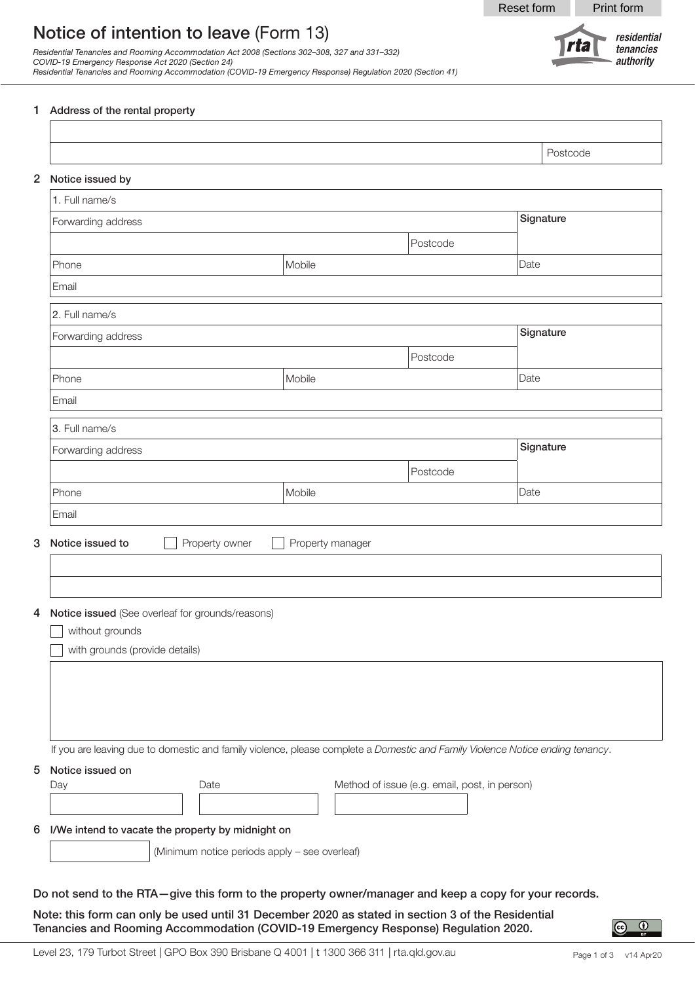Reset form Print form

rta

residential

tenancies authority

# Notice of intention to leave (Form 13)

*Residential Tenancies and Rooming Accommodation Act 2008 (Sections 302–308, 327 and 331–332) COVID-19 Emergency Response Act 2020 (Section 24) Residential Tenancies and Rooming Accommodation (COVID-19 Emergency Response) Regulation 2020 (Section 41)*

#### 1 Address of the rental property

| 2 Notice issued by<br>1. Full name/s<br>Phone<br>Email<br>2. Full name/s | Forwarding address<br>Forwarding address           |                | Mobile           | Postcode | Signature<br>Date |
|--------------------------------------------------------------------------|----------------------------------------------------|----------------|------------------|----------|-------------------|
|                                                                          |                                                    |                |                  |          |                   |
|                                                                          |                                                    |                |                  |          |                   |
|                                                                          |                                                    |                |                  |          |                   |
|                                                                          |                                                    |                |                  |          |                   |
|                                                                          |                                                    |                |                  |          |                   |
|                                                                          |                                                    |                |                  |          |                   |
|                                                                          |                                                    |                |                  |          |                   |
|                                                                          |                                                    |                |                  |          | Signature         |
|                                                                          |                                                    |                |                  | Postcode |                   |
| Phone                                                                    |                                                    |                | Mobile           |          | Date              |
| Email                                                                    |                                                    |                |                  |          |                   |
| 3. Full name/s                                                           |                                                    |                |                  |          |                   |
|                                                                          | Forwarding address                                 |                |                  |          | Signature         |
|                                                                          |                                                    |                |                  | Postcode |                   |
| Phone                                                                    |                                                    |                | Mobile           |          | Date              |
| Email                                                                    |                                                    |                |                  |          |                   |
|                                                                          |                                                    |                |                  |          |                   |
| Notice issued to                                                         |                                                    | Property owner | Property manager |          |                   |
|                                                                          |                                                    |                |                  |          |                   |
|                                                                          |                                                    |                |                  |          |                   |
|                                                                          | 4 Notice issued (See overleaf for grounds/reasons) |                |                  |          |                   |
|                                                                          | without grounds                                    |                |                  |          |                   |
|                                                                          | with grounds (provide details)                     |                |                  |          |                   |

Note: this form can only be used until 31 December 2020 as stated in section 3 of the Residential Tenancies and Rooming Accommodation (COVID-19 Emergency Response) Regulation 2020.

 $\left( \infty \right)$ 

 $^\circledR$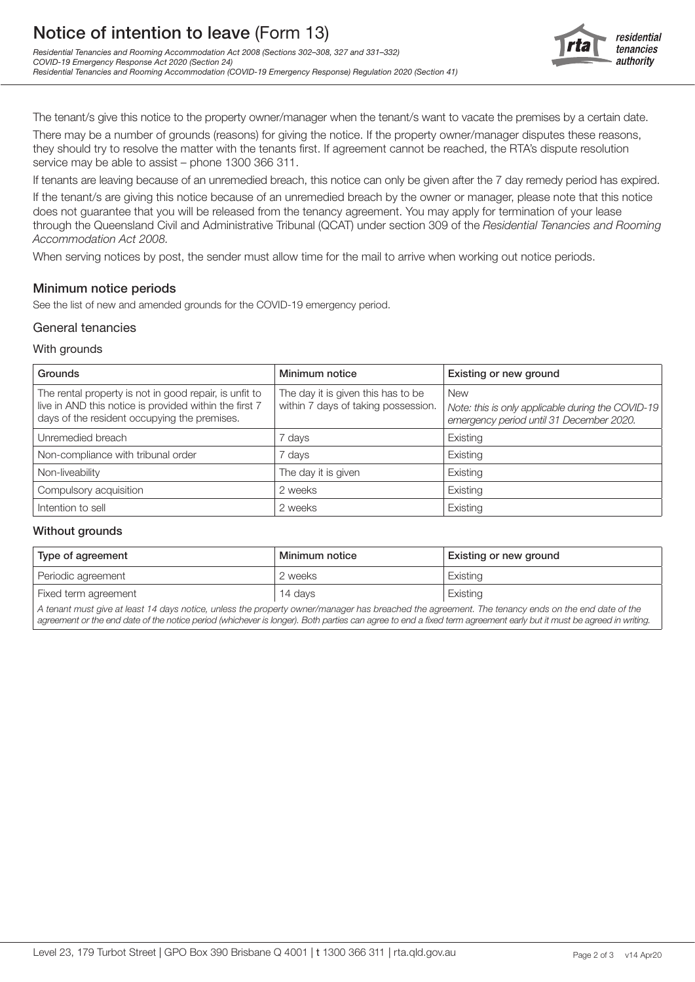

The tenant/s give this notice to the property owner/manager when the tenant/s want to vacate the premises by a certain date.

There may be a number of grounds (reasons) for giving the notice. If the property owner/manager disputes these reasons, they should try to resolve the matter with the tenants first. If agreement cannot be reached, the RTA's dispute resolution service may be able to assist – phone 1300 366 311.

If tenants are leaving because of an unremedied breach, this notice can only be given after the 7 day remedy period has expired. If the tenant/s are giving this notice because of an unremedied breach by the owner or manager, please note that this notice does not guarantee that you will be released from the tenancy agreement. You may apply for termination of your lease through the Queensland Civil and Administrative Tribunal (QCAT) under section 309 of the *Residential Tenancies and Rooming Accommodation Act 2008.*

When serving notices by post, the sender must allow time for the mail to arrive when working out notice periods.

# Minimum notice periods

See the list of new and amended grounds for the COVID-19 emergency period.

## General tenancies

#### With grounds

| <b>Grounds</b>                                                                                                                                                   | Minimum notice                                                            | Existing or new ground                                                                                      |
|------------------------------------------------------------------------------------------------------------------------------------------------------------------|---------------------------------------------------------------------------|-------------------------------------------------------------------------------------------------------------|
| The rental property is not in good repair, is unfit to<br>live in AND this notice is provided within the first 7<br>days of the resident occupying the premises. | The day it is given this has to be<br>within 7 days of taking possession. | <b>New</b><br>Note: this is only applicable during the COVID-19<br>emergency period until 31 December 2020. |
| Unremedied breach                                                                                                                                                | ' days                                                                    | Existing                                                                                                    |
| Non-compliance with tribunal order                                                                                                                               | 7 days                                                                    | Existing                                                                                                    |
| Non-liveability                                                                                                                                                  | The day it is given                                                       | Existing                                                                                                    |
| Compulsory acquisition                                                                                                                                           | 2 weeks                                                                   | Existing                                                                                                    |
| Intention to sell                                                                                                                                                | 2 weeks                                                                   | Existing                                                                                                    |

## Without grounds

| Type of agreement                                                                                                                                 | Minimum notice | Existing or new ground |  |  |
|---------------------------------------------------------------------------------------------------------------------------------------------------|----------------|------------------------|--|--|
| Periodic agreement                                                                                                                                | 2 weeks        | Existing               |  |  |
| Fixed term agreement                                                                                                                              | 14 days        | Existing               |  |  |
| A tenant must give at least 14 days notice, unless the property owner/manager has breached the agreement. The tenancy ends on the end date of the |                |                        |  |  |

*agreement or the end date of the notice period (whichever is longer). Both parties can agree to end a fixed term agreement early but it must be agreed in writing.*